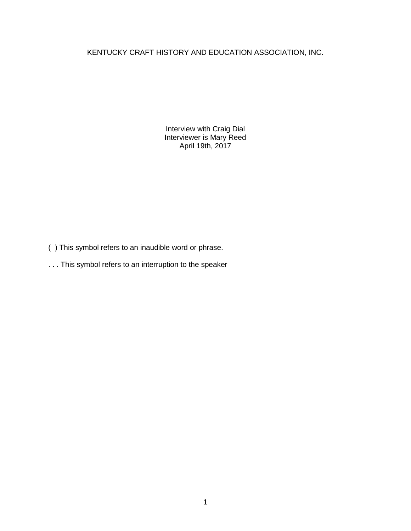# KENTUCKY CRAFT HISTORY AND EDUCATION ASSOCIATION, INC.

Interview with Craig Dial Interviewer is Mary Reed April 19th, 2017

- ( ) This symbol refers to an inaudible word or phrase.
- . . . This symbol refers to an interruption to the speaker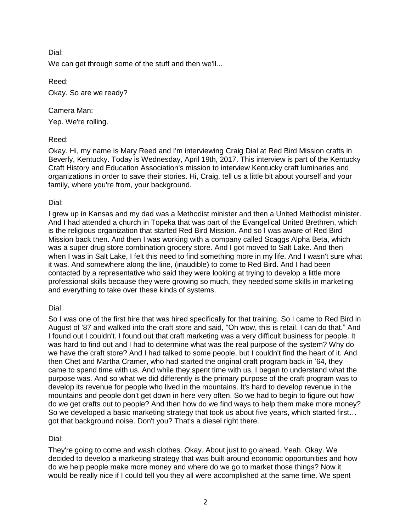We can get through some of the stuff and then we'll...

Reed:

Okay. So are we ready?

Camera Man:

Yep. We're rolling.

## Reed:

Okay. Hi, my name is Mary Reed and I'm interviewing Craig Dial at Red Bird Mission crafts in Beverly, Kentucky. Today is Wednesday, April 19th, 2017. This interview is part of the Kentucky Craft History and Education Association's mission to interview Kentucky craft luminaries and organizations in order to save their stories. Hi, Craig, tell us a little bit about yourself and your family, where you're from, your background.

## Dial:

I grew up in Kansas and my dad was a Methodist minister and then a United Methodist minister. And I had attended a church in Topeka that was part of the Evangelical United Brethren, which is the religious organization that started Red Bird Mission. And so I was aware of Red Bird Mission back then. And then I was working with a company called Scaggs Alpha Beta, which was a super drug store combination grocery store. And I got moved to Salt Lake. And then when I was in Salt Lake, I felt this need to find something more in my life. And I wasn't sure what it was. And somewhere along the line, (inaudible) to come to Red Bird. And I had been contacted by a representative who said they were looking at trying to develop a little more professional skills because they were growing so much, they needed some skills in marketing and everything to take over these kinds of systems.

# Dial:

So I was one of the first hire that was hired specifically for that training. So I came to Red Bird in August of '87 and walked into the craft store and said, "Oh wow, this is retail. I can do that." And I found out I couldn't. I found out that craft marketing was a very difficult business for people. It was hard to find out and I had to determine what was the real purpose of the system? Why do we have the craft store? And I had talked to some people, but I couldn't find the heart of it. And then Chet and Martha Cramer, who had started the original craft program back in '64, they came to spend time with us. And while they spent time with us, I began to understand what the purpose was. And so what we did differently is the primary purpose of the craft program was to develop its revenue for people who lived in the mountains. It's hard to develop revenue in the mountains and people don't get down in here very often. So we had to begin to figure out how do we get crafts out to people? And then how do we find ways to help them make more money? So we developed a basic marketing strategy that took us about five years, which started first… got that background noise. Don't you? That's a diesel right there.

# Dial:

They're going to come and wash clothes. Okay. About just to go ahead. Yeah. Okay. We decided to develop a marketing strategy that was built around economic opportunities and how do we help people make more money and where do we go to market those things? Now it would be really nice if I could tell you they all were accomplished at the same time. We spent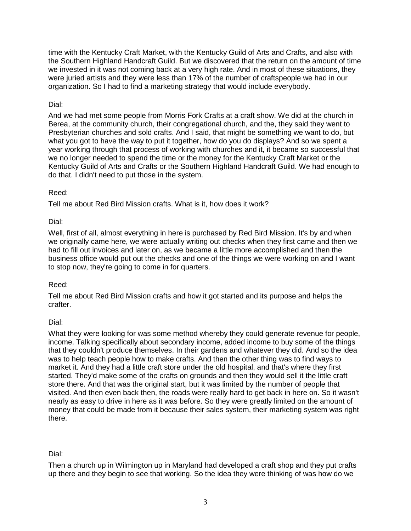time with the Kentucky Craft Market, with the Kentucky Guild of Arts and Crafts, and also with the Southern Highland Handcraft Guild. But we discovered that the return on the amount of time we invested in it was not coming back at a very high rate. And in most of these situations, they were juried artists and they were less than 17% of the number of craftspeople we had in our organization. So I had to find a marketing strategy that would include everybody.

## Dial:

And we had met some people from Morris Fork Crafts at a craft show. We did at the church in Berea, at the community church, their congregational church, and the, they said they went to Presbyterian churches and sold crafts. And I said, that might be something we want to do, but what you got to have the way to put it together, how do you do displays? And so we spent a year working through that process of working with churches and it, it became so successful that we no longer needed to spend the time or the money for the Kentucky Craft Market or the Kentucky Guild of Arts and Crafts or the Southern Highland Handcraft Guild. We had enough to do that. I didn't need to put those in the system.

## Reed:

Tell me about Red Bird Mission crafts. What is it, how does it work?

## Dial:

Well, first of all, almost everything in here is purchased by Red Bird Mission. It's by and when we originally came here, we were actually writing out checks when they first came and then we had to fill out invoices and later on, as we became a little more accomplished and then the business office would put out the checks and one of the things we were working on and I want to stop now, they're going to come in for quarters.

### Reed:

Tell me about Red Bird Mission crafts and how it got started and its purpose and helps the crafter.

# Dial:

What they were looking for was some method whereby they could generate revenue for people, income. Talking specifically about secondary income, added income to buy some of the things that they couldn't produce themselves. In their gardens and whatever they did. And so the idea was to help teach people how to make crafts. And then the other thing was to find ways to market it. And they had a little craft store under the old hospital, and that's where they first started. They'd make some of the crafts on grounds and then they would sell it the little craft store there. And that was the original start, but it was limited by the number of people that visited. And then even back then, the roads were really hard to get back in here on. So it wasn't nearly as easy to drive in here as it was before. So they were greatly limited on the amount of money that could be made from it because their sales system, their marketing system was right there.

# Dial:

Then a church up in Wilmington up in Maryland had developed a craft shop and they put crafts up there and they begin to see that working. So the idea they were thinking of was how do we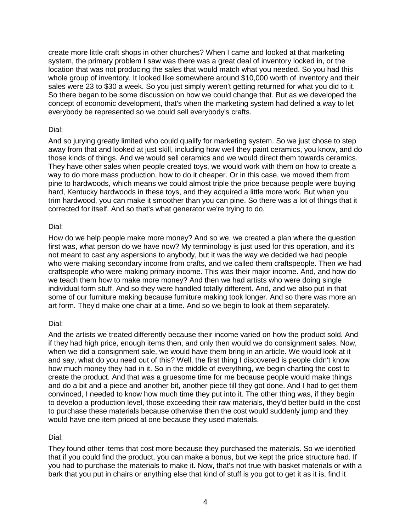create more little craft shops in other churches? When I came and looked at that marketing system, the primary problem I saw was there was a great deal of inventory locked in, or the location that was not producing the sales that would match what you needed. So you had this whole group of inventory. It looked like somewhere around \$10,000 worth of inventory and their sales were 23 to \$30 a week. So you just simply weren't getting returned for what you did to it. So there began to be some discussion on how we could change that. But as we developed the concept of economic development, that's when the marketing system had defined a way to let everybody be represented so we could sell everybody's crafts.

#### Dial:

And so jurying greatly limited who could qualify for marketing system. So we just chose to step away from that and looked at just skill, including how well they paint ceramics, you know, and do those kinds of things. And we would sell ceramics and we would direct them towards ceramics. They have other sales when people created toys, we would work with them on how to create a way to do more mass production, how to do it cheaper. Or in this case, we moved them from pine to hardwoods, which means we could almost triple the price because people were buying hard, Kentucky hardwoods in these toys, and they acquired a little more work. But when you trim hardwood, you can make it smoother than you can pine. So there was a lot of things that it corrected for itself. And so that's what generator we're trying to do.

#### Dial:

How do we help people make more money? And so we, we created a plan where the question first was, what person do we have now? My terminology is just used for this operation, and it's not meant to cast any aspersions to anybody, but it was the way we decided we had people who were making secondary income from crafts, and we called them craftspeople. Then we had craftspeople who were making primary income. This was their major income. And, and how do we teach them how to make more money? And then we had artists who were doing single individual form stuff. And so they were handled totally different. And, and we also put in that some of our furniture making because furniture making took longer. And so there was more an art form. They'd make one chair at a time. And so we begin to look at them separately.

### Dial:

And the artists we treated differently because their income varied on how the product sold. And if they had high price, enough items then, and only then would we do consignment sales. Now, when we did a consignment sale, we would have them bring in an article. We would look at it and say, what do you need out of this? Well, the first thing I discovered is people didn't know how much money they had in it. So in the middle of everything, we begin charting the cost to create the product. And that was a gruesome time for me because people would make things and do a bit and a piece and another bit, another piece till they got done. And I had to get them convinced, I needed to know how much time they put into it. The other thing was, if they begin to develop a production level, those exceeding their raw materials, they'd better build in the cost to purchase these materials because otherwise then the cost would suddenly jump and they would have one item priced at one because they used materials.

### Dial:

They found other items that cost more because they purchased the materials. So we identified that if you could find the product, you can make a bonus, but we kept the price structure had. If you had to purchase the materials to make it. Now, that's not true with basket materials or with a bark that you put in chairs or anything else that kind of stuff is you got to get it as it is, find it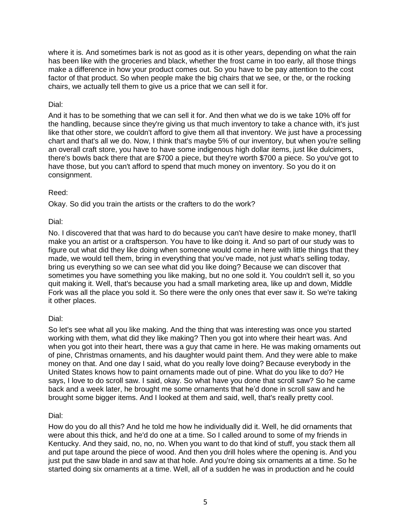where it is. And sometimes bark is not as good as it is other years, depending on what the rain has been like with the groceries and black, whether the frost came in too early, all those things make a difference in how your product comes out. So you have to be pay attention to the cost factor of that product. So when people make the big chairs that we see, or the, or the rocking chairs, we actually tell them to give us a price that we can sell it for.

### Dial:

And it has to be something that we can sell it for. And then what we do is we take 10% off for the handling, because since they're giving us that much inventory to take a chance with, it's just like that other store, we couldn't afford to give them all that inventory. We just have a processing chart and that's all we do. Now, I think that's maybe 5% of our inventory, but when you're selling an overall craft store, you have to have some indigenous high dollar items, just like dulcimers, there's bowls back there that are \$700 a piece, but they're worth \$700 a piece. So you've got to have those, but you can't afford to spend that much money on inventory. So you do it on consignment.

## Reed:

Okay. So did you train the artists or the crafters to do the work?

## Dial:

No. I discovered that that was hard to do because you can't have desire to make money, that'll make you an artist or a craftsperson. You have to like doing it. And so part of our study was to figure out what did they like doing when someone would come in here with little things that they made, we would tell them, bring in everything that you've made, not just what's selling today, bring us everything so we can see what did you like doing? Because we can discover that sometimes you have something you like making, but no one sold it. You couldn't sell it, so you quit making it. Well, that's because you had a small marketing area, like up and down, Middle Fork was all the place you sold it. So there were the only ones that ever saw it. So we're taking it other places.

### Dial:

So let's see what all you like making. And the thing that was interesting was once you started working with them, what did they like making? Then you got into where their heart was. And when you got into their heart, there was a guy that came in here. He was making ornaments out of pine, Christmas ornaments, and his daughter would paint them. And they were able to make money on that. And one day I said, what do you really love doing? Because everybody in the United States knows how to paint ornaments made out of pine. What do you like to do? He says, I love to do scroll saw. I said, okay. So what have you done that scroll saw? So he came back and a week later, he brought me some ornaments that he'd done in scroll saw and he brought some bigger items. And I looked at them and said, well, that's really pretty cool.

### Dial:

How do you do all this? And he told me how he individually did it. Well, he did ornaments that were about this thick, and he'd do one at a time. So I called around to some of my friends in Kentucky. And they said, no, no, no. When you want to do that kind of stuff, you stack them all and put tape around the piece of wood. And then you drill holes where the opening is. And you just put the saw blade in and saw at that hole. And you're doing six ornaments at a time. So he started doing six ornaments at a time. Well, all of a sudden he was in production and he could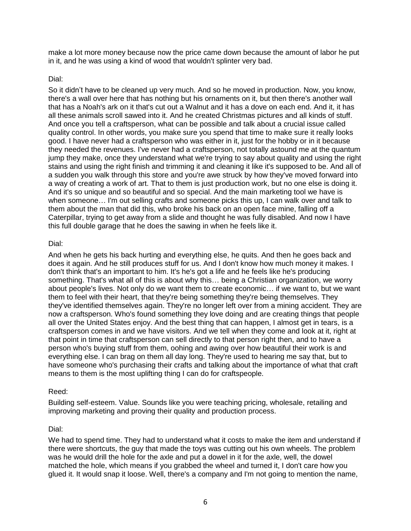make a lot more money because now the price came down because the amount of labor he put in it, and he was using a kind of wood that wouldn't splinter very bad.

#### Dial:

So it didn't have to be cleaned up very much. And so he moved in production. Now, you know, there's a wall over here that has nothing but his ornaments on it, but then there's another wall that has a Noah's ark on it that's cut out a Walnut and it has a dove on each end. And it, it has all these animals scroll sawed into it. And he created Christmas pictures and all kinds of stuff. And once you tell a craftsperson, what can be possible and talk about a crucial issue called quality control. In other words, you make sure you spend that time to make sure it really looks good. I have never had a craftsperson who was either in it, just for the hobby or in it because they needed the revenues. I've never had a craftsperson, not totally astound me at the quantum jump they make, once they understand what we're trying to say about quality and using the right stains and using the right finish and trimming it and cleaning it like it's supposed to be. And all of a sudden you walk through this store and you're awe struck by how they've moved forward into a way of creating a work of art. That to them is just production work, but no one else is doing it. And it's so unique and so beautiful and so special. And the main marketing tool we have is when someone… I'm out selling crafts and someone picks this up, I can walk over and talk to them about the man that did this, who broke his back on an open face mine, falling off a Caterpillar, trying to get away from a slide and thought he was fully disabled. And now I have this full double garage that he does the sawing in when he feels like it.

#### Dial:

And when he gets his back hurting and everything else, he quits. And then he goes back and does it again. And he still produces stuff for us. And I don't know how much money it makes. I don't think that's an important to him. It's he's got a life and he feels like he's producing something. That's what all of this is about why this… being a Christian organization, we worry about people's lives. Not only do we want them to create economic… if we want to, but we want them to feel with their heart, that they're being something they're being themselves. They they've identified themselves again. They're no longer left over from a mining accident. They are now a craftsperson. Who's found something they love doing and are creating things that people all over the United States enjoy. And the best thing that can happen, I almost get in tears, is a craftsperson comes in and we have visitors. And we tell when they come and look at it, right at that point in time that craftsperson can sell directly to that person right then, and to have a person who's buying stuff from them, oohing and awing over how beautiful their work is and everything else. I can brag on them all day long. They're used to hearing me say that, but to have someone who's purchasing their crafts and talking about the importance of what that craft means to them is the most uplifting thing I can do for craftspeople.

### Reed:

Building self-esteem. Value. Sounds like you were teaching pricing, wholesale, retailing and improving marketing and proving their quality and production process.

### Dial:

We had to spend time. They had to understand what it costs to make the item and understand if there were shortcuts, the guy that made the toys was cutting out his own wheels. The problem was he would drill the hole for the axle and put a dowel in it for the axle, well, the dowel matched the hole, which means if you grabbed the wheel and turned it, I don't care how you glued it. It would snap it loose. Well, there's a company and I'm not going to mention the name,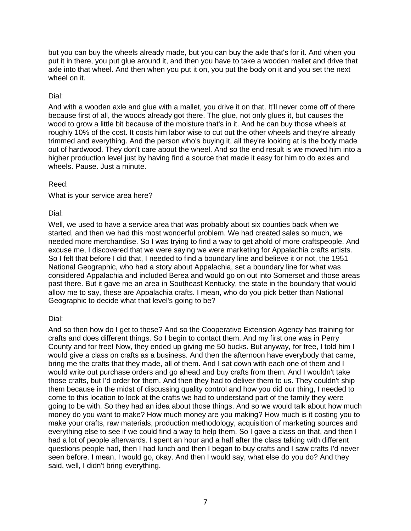but you can buy the wheels already made, but you can buy the axle that's for it. And when you put it in there, you put glue around it, and then you have to take a wooden mallet and drive that axle into that wheel. And then when you put it on, you put the body on it and you set the next wheel on it.

### Dial:

And with a wooden axle and glue with a mallet, you drive it on that. It'll never come off of there because first of all, the woods already got there. The glue, not only glues it, but causes the wood to grow a little bit because of the moisture that's in it. And he can buy those wheels at roughly 10% of the cost. It costs him labor wise to cut out the other wheels and they're already trimmed and everything. And the person who's buying it, all they're looking at is the body made out of hardwood. They don't care about the wheel. And so the end result is we moved him into a higher production level just by having find a source that made it easy for him to do axles and wheels. Pause. Just a minute.

### Reed:

What is your service area here?

### Dial:

Well, we used to have a service area that was probably about six counties back when we started, and then we had this most wonderful problem. We had created sales so much, we needed more merchandise. So I was trying to find a way to get ahold of more craftspeople. And excuse me, I discovered that we were saying we were marketing for Appalachia crafts artists. So I felt that before I did that, I needed to find a boundary line and believe it or not, the 1951 National Geographic, who had a story about Appalachia, set a boundary line for what was considered Appalachia and included Berea and would go on out into Somerset and those areas past there. But it gave me an area in Southeast Kentucky, the state in the boundary that would allow me to say, these are Appalachia crafts. I mean, who do you pick better than National Geographic to decide what that level's going to be?

### Dial:

And so then how do I get to these? And so the Cooperative Extension Agency has training for crafts and does different things. So I begin to contact them. And my first one was in Perry County and for free! Now, they ended up giving me 50 bucks. But anyway, for free, I told him I would give a class on crafts as a business. And then the afternoon have everybody that came, bring me the crafts that they made, all of them. And I sat down with each one of them and I would write out purchase orders and go ahead and buy crafts from them. And I wouldn't take those crafts, but I'd order for them. And then they had to deliver them to us. They couldn't ship them because in the midst of discussing quality control and how you did our thing, I needed to come to this location to look at the crafts we had to understand part of the family they were going to be with. So they had an idea about those things. And so we would talk about how much money do you want to make? How much money are you making? How much is it costing you to make your crafts, raw materials, production methodology, acquisition of marketing sources and everything else to see if we could find a way to help them. So I gave a class on that, and then I had a lot of people afterwards. I spent an hour and a half after the class talking with different questions people had, then I had lunch and then I began to buy crafts and I saw crafts I'd never seen before. I mean, I would go, okay. And then I would say, what else do you do? And they said, well, I didn't bring everything.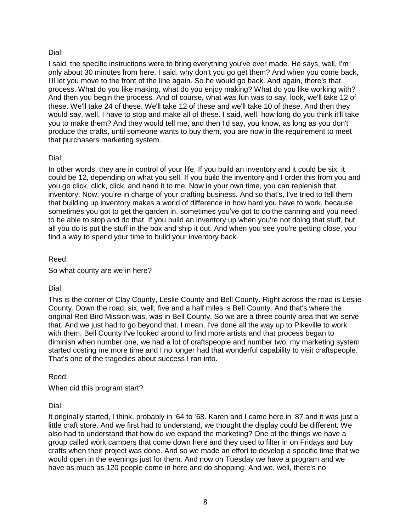I said, the specific instructions were to bring everything you've ever made. He says, well, I'm only about 30 minutes from here. I said, why don't you go get them? And when you come back, I'll let you move to the front of the line again. So he would go back. And again, there's that process. What do you like making, what do you enjoy making? What do you like working with? And then you begin the process. And of course, what was fun was to say, look, we'll take 12 of these. We'll take 24 of these. We'll take 12 of these and we'll take 10 of these. And then they would say, well, I have to stop and make all of these. I said, well, how long do you think it'll take you to make them? And they would tell me, and then I'd say, you know, as long as you don't produce the crafts, until someone wants to buy them, you are now in the requirement to meet that purchasers marketing system.

## Dial:

In other words, they are in control of your life. If you build an inventory and it could be six, it could be 12, depending on what you sell. If you build the inventory and I order this from you and you go click, click, click, and hand it to me. Now in your own time, you can replenish that inventory. Now, you're in charge of your crafting business. And so that's, I've tried to tell them that building up inventory makes a world of difference in how hard you have to work, because sometimes you got to get the garden in, sometimes you've got to do the canning and you need to be able to stop and do that. If you build an inventory up when you're not doing that stuff, but all you do is put the stuff in the box and ship it out. And when you see you're getting close, you find a way to spend your time to build your inventory back.

Reed:

So what county are we in here?

# Dial:

This is the corner of Clay County, Leslie County and Bell County. Right across the road is Leslie County. Down the road, six, well, five and a half miles is Bell County. And that's where the original Red Bird Mission was, was in Bell County. So we are a three county area that we serve that. And we just had to go beyond that. I mean, I've done all the way up to Pikeville to work with them, Bell County I've looked around to find more artists and that process began to diminish when number one, we had a lot of craftspeople and number two, my marketing system started costing me more time and I no longer had that wonderful capability to visit craftspeople. That's one of the tragedies about success I ran into.

Reed:

When did this program start?

Dial:

It originally started, I think, probably in '64 to '68. Karen and I came here in '87 and it was just a little craft store. And we first had to understand, we thought the display could be different. We also had to understand that how do we expand the marketing? One of the things we have a group called work campers that come down here and they used to filter in on Fridays and buy crafts when their project was done. And so we made an effort to develop a specific time that we would open in the evenings just for them. And now on Tuesday we have a program and we have as much as 120 people come in here and do shopping. And we, well, there's no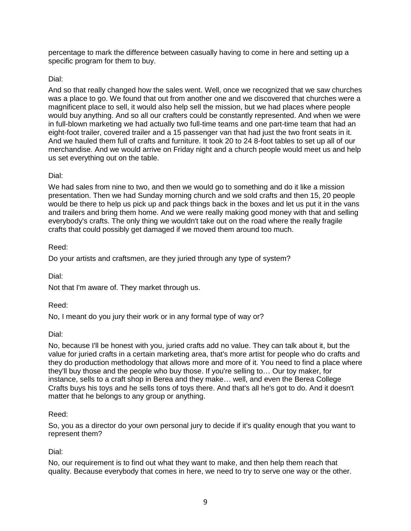percentage to mark the difference between casually having to come in here and setting up a specific program for them to buy.

# Dial:

And so that really changed how the sales went. Well, once we recognized that we saw churches was a place to go. We found that out from another one and we discovered that churches were a magnificent place to sell, it would also help sell the mission, but we had places where people would buy anything. And so all our crafters could be constantly represented. And when we were in full-blown marketing we had actually two full-time teams and one part-time team that had an eight-foot trailer, covered trailer and a 15 passenger van that had just the two front seats in it. And we hauled them full of crafts and furniture. It took 20 to 24 8-foot tables to set up all of our merchandise. And we would arrive on Friday night and a church people would meet us and help us set everything out on the table.

### Dial:

We had sales from nine to two, and then we would go to something and do it like a mission presentation. Then we had Sunday morning church and we sold crafts and then 15, 20 people would be there to help us pick up and pack things back in the boxes and let us put it in the vans and trailers and bring them home. And we were really making good money with that and selling everybody's crafts. The only thing we wouldn't take out on the road where the really fragile crafts that could possibly get damaged if we moved them around too much.

### Reed:

Do your artists and craftsmen, are they juried through any type of system?

Dial:

Not that I'm aware of. They market through us.

### Reed:

No, I meant do you jury their work or in any formal type of way or?

### Dial:

No, because I'll be honest with you, juried crafts add no value. They can talk about it, but the value for juried crafts in a certain marketing area, that's more artist for people who do crafts and they do production methodology that allows more and more of it. You need to find a place where they'll buy those and the people who buy those. If you're selling to… Our toy maker, for instance, sells to a craft shop in Berea and they make… well, and even the Berea College Crafts buys his toys and he sells tons of toys there. And that's all he's got to do. And it doesn't matter that he belongs to any group or anything.

#### Reed:

So, you as a director do your own personal jury to decide if it's quality enough that you want to represent them?

### Dial:

No, our requirement is to find out what they want to make, and then help them reach that quality. Because everybody that comes in here, we need to try to serve one way or the other.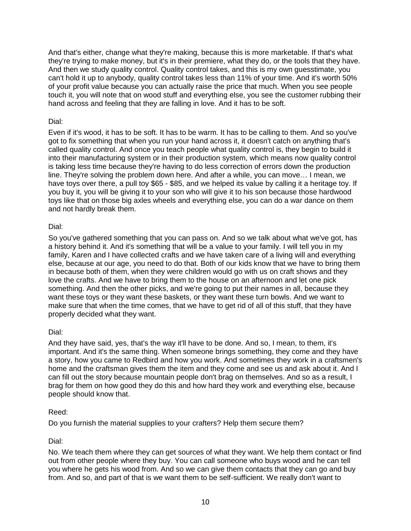And that's either, change what they're making, because this is more marketable. If that's what they're trying to make money, but it's in their premiere, what they do, or the tools that they have. And then we study quality control. Quality control takes, and this is my own guesstimate, you can't hold it up to anybody, quality control takes less than 11% of your time. And it's worth 50% of your profit value because you can actually raise the price that much. When you see people touch it, you will note that on wood stuff and everything else, you see the customer rubbing their hand across and feeling that they are falling in love. And it has to be soft.

### Dial:

Even if it's wood, it has to be soft. It has to be warm. It has to be calling to them. And so you've got to fix something that when you run your hand across it, it doesn't catch on anything that's called quality control. And once you teach people what quality control is, they begin to build it into their manufacturing system or in their production system, which means now quality control is taking less time because they're having to do less correction of errors down the production line. They're solving the problem down here. And after a while, you can move… I mean, we have toys over there, a pull toy \$65 - \$85, and we helped its value by calling it a heritage toy. If you buy it, you will be giving it to your son who will give it to his son because those hardwood toys like that on those big axles wheels and everything else, you can do a war dance on them and not hardly break them.

### Dial:

So you've gathered something that you can pass on. And so we talk about what we've got, has a history behind it. And it's something that will be a value to your family. I will tell you in my family, Karen and I have collected crafts and we have taken care of a living will and everything else, because at our age, you need to do that. Both of our kids know that we have to bring them in because both of them, when they were children would go with us on craft shows and they love the crafts. And we have to bring them to the house on an afternoon and let one pick something. And then the other picks, and we're going to put their names in all, because they want these toys or they want these baskets, or they want these turn bowls. And we want to make sure that when the time comes, that we have to get rid of all of this stuff, that they have properly decided what they want.

### Dial:

And they have said, yes, that's the way it'll have to be done. And so, I mean, to them, it's important. And it's the same thing. When someone brings something, they come and they have a story, how you came to Redbird and how you work. And sometimes they work in a craftsmen's home and the craftsman gives them the item and they come and see us and ask about it. And I can fill out the story because mountain people don't brag on themselves. And so as a result, I brag for them on how good they do this and how hard they work and everything else, because people should know that.

### Reed:

Do you furnish the material supplies to your crafters? Help them secure them?

### Dial:

No. We teach them where they can get sources of what they want. We help them contact or find out from other people where they buy. You can call someone who buys wood and he can tell you where he gets his wood from. And so we can give them contacts that they can go and buy from. And so, and part of that is we want them to be self-sufficient. We really don't want to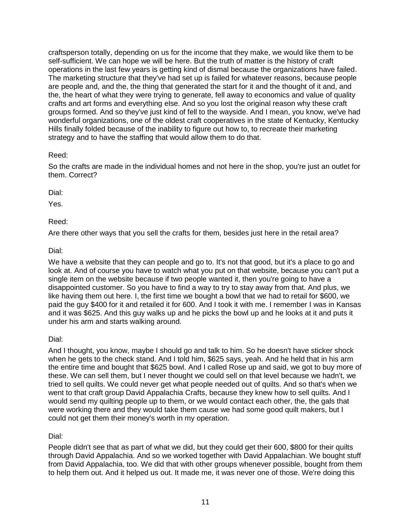craftsperson totally, depending on us for the income that they make, we would like them to be self-sufficient. We can hope we will be here. But the truth of matter is the history of craft operations in the last few years is getting kind of dismal because the organizations have failed. The marketing structure that they've had set up is failed for whatever reasons, because people are people and, and the, the thing that generated the start for it and the thought of it and, and the, the heart of what they were trying to generate, fell away to economics and value of quality crafts and art forms and everything else. And so you lost the original reason why these craft groups formed. And so they've just kind of fell to the wayside. And I mean, you know, we've had wonderful organizations, one of the oldest craft cooperatives in the state of Kentucky, Kentucky Hills finally folded because of the inability to figure out how to, to recreate their marketing strategy and to have the staffing that would allow them to do that.

## Reed:

So the crafts are made in the individual homes and not here in the shop, you're just an outlet for them. Correct?

### Dial:

Yes.

# Reed:

Are there other ways that you sell the crafts for them, besides just here in the retail area?

## Dial:

We have a website that they can people and go to. It's not that good, but it's a place to go and look at. And of course you have to watch what you put on that website, because you can't put a single item on the website because if two people wanted it, then you're going to have a disappointed customer. So you have to find a way to try to stay away from that. And plus, we like having them out here. I, the first time we bought a bowl that we had to retail for \$600, we paid the guy \$400 for it and retailed it for 600. And I took it with me. I remember I was in Kansas and it was \$625. And this guy walks up and he picks the bowl up and he looks at it and puts it under his arm and starts walking around.

### Dial:

And I thought, you know, maybe I should go and talk to him. So he doesn't have sticker shock when he gets to the check stand. And I told him, \$625 says, yeah. And he held that in his arm the entire time and bought that \$625 bowl. And I called Rose up and said, we got to buy more of these. We can sell them, but I never thought we could sell on that level because we hadn't, we tried to sell quilts. We could never get what people needed out of quilts. And so that's when we went to that craft group David Appalachia Crafts, because they knew how to sell quilts. And I would send my quilting people up to them, or we would contact each other, the, the gals that were working there and they would take them cause we had some good quilt makers, but I could not get them their money's worth in my operation.

# Dial:

People didn't see that as part of what we did, but they could get their 600, \$800 for their quilts through David Appalachia. And so we worked together with David Appalachian. We bought stuff from David Appalachia, too. We did that with other groups whenever possible, bought from them to help them out. And it helped us out. It made me, it was never one of those. We're doing this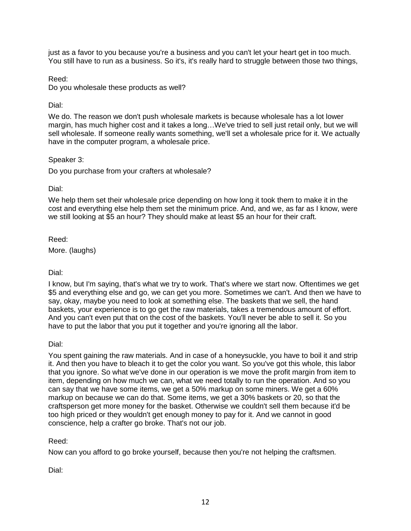just as a favor to you because you're a business and you can't let your heart get in too much. You still have to run as a business. So it's, it's really hard to struggle between those two things,

Reed:

Do you wholesale these products as well?

Dial:

We do. The reason we don't push wholesale markets is because wholesale has a lot lower margin, has much higher cost and it takes a long…We've tried to sell just retail only, but we will sell wholesale. If someone really wants something, we'll set a wholesale price for it. We actually have in the computer program, a wholesale price.

### Speaker 3:

Do you purchase from your crafters at wholesale?

### Dial:

We help them set their wholesale price depending on how long it took them to make it in the cost and everything else help them set the minimum price. And, and we, as far as I know, were we still looking at \$5 an hour? They should make at least \$5 an hour for their craft.

Reed:

More. (laughs)

Dial:

I know, but I'm saying, that's what we try to work. That's where we start now. Oftentimes we get \$5 and everything else and go, we can get you more. Sometimes we can't. And then we have to say, okay, maybe you need to look at something else. The baskets that we sell, the hand baskets, your experience is to go get the raw materials, takes a tremendous amount of effort. And you can't even put that on the cost of the baskets. You'll never be able to sell it. So you have to put the labor that you put it together and you're ignoring all the labor.

Dial:

You spent gaining the raw materials. And in case of a honeysuckle, you have to boil it and strip it. And then you have to bleach it to get the color you want. So you've got this whole, this labor that you ignore. So what we've done in our operation is we move the profit margin from item to item, depending on how much we can, what we need totally to run the operation. And so you can say that we have some items, we get a 50% markup on some miners. We get a 60% markup on because we can do that. Some items, we get a 30% baskets or 20, so that the craftsperson get more money for the basket. Otherwise we couldn't sell them because it'd be too high priced or they wouldn't get enough money to pay for it. And we cannot in good conscience, help a crafter go broke. That's not our job.

# Reed:

Now can you afford to go broke yourself, because then you're not helping the craftsmen.

Dial: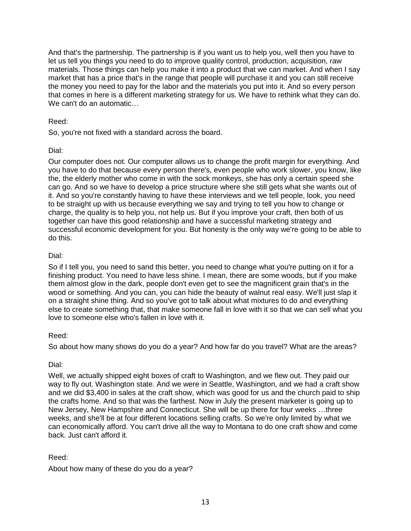And that's the partnership. The partnership is if you want us to help you, well then you have to let us tell you things you need to do to improve quality control, production, acquisition, raw materials. Those things can help you make it into a product that we can market. And when I say market that has a price that's in the range that people will purchase it and you can still receive the money you need to pay for the labor and the materials you put into it. And so every person that comes in here is a different marketing strategy for us. We have to rethink what they can do. We can't do an automatic…

## Reed:

So, you're not fixed with a standard across the board.

## Dial:

Our computer does not. Our computer allows us to change the profit margin for everything. And you have to do that because every person there's, even people who work slower, you know, like the, the elderly mother who come in with the sock monkeys, she has only a certain speed she can go. And so we have to develop a price structure where she still gets what she wants out of it. And so you're constantly having to have these interviews and we tell people, look, you need to be straight up with us because everything we say and trying to tell you how to change or charge, the quality is to help you, not help us. But if you improve your craft, then both of us together can have this good relationship and have a successful marketing strategy and successful economic development for you. But honesty is the only way we're going to be able to do this.

## Dial:

So if I tell you, you need to sand this better, you need to change what you're putting on it for a finishing product. You need to have less shine. I mean, there are some woods, but if you make them almost glow in the dark, people don't even get to see the magnificent grain that's in the wood or something. And you can, you can hide the beauty of walnut real easy. We'll just slap it on a straight shine thing. And so you've got to talk about what mixtures to do and everything else to create something that, that make someone fall in love with it so that we can sell what you love to someone else who's fallen in love with it.

### Reed:

So about how many shows do you do a year? And how far do you travel? What are the areas?

# Dial:

Well, we actually shipped eight boxes of craft to Washington, and we flew out. They paid our way to fly out. Washington state. And we were in Seattle, Washington, and we had a craft show and we did \$3,400 in sales at the craft show, which was good for us and the church paid to ship the crafts home. And so that was the farthest. Now in July the present marketer is going up to New Jersey, New Hampshire and Connecticut. She will be up there for four weeks …three weeks, and she'll be at four different locations selling crafts. So we're only limited by what we can economically afford. You can't drive all the way to Montana to do one craft show and come back. Just can't afford it.

# Reed:

About how many of these do you do a year?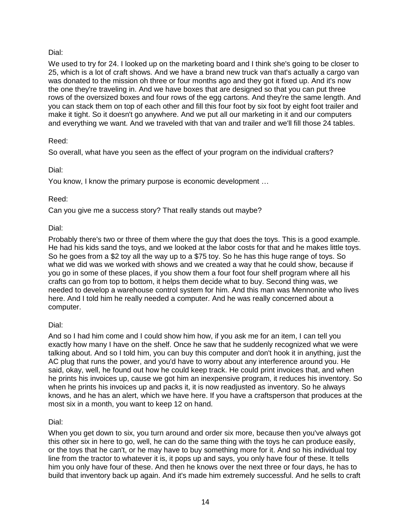We used to try for 24. I looked up on the marketing board and I think she's going to be closer to 25, which is a lot of craft shows. And we have a brand new truck van that's actually a cargo van was donated to the mission oh three or four months ago and they got it fixed up. And it's now the one they're traveling in. And we have boxes that are designed so that you can put three rows of the oversized boxes and four rows of the egg cartons. And they're the same length. And you can stack them on top of each other and fill this four foot by six foot by eight foot trailer and make it tight. So it doesn't go anywhere. And we put all our marketing in it and our computers and everything we want. And we traveled with that van and trailer and we'll fill those 24 tables.

## Reed:

So overall, what have you seen as the effect of your program on the individual crafters?

# Dial:

You know, I know the primary purpose is economic development …

## Reed:

Can you give me a success story? That really stands out maybe?

# Dial:

Probably there's two or three of them where the guy that does the toys. This is a good example. He had his kids sand the toys, and we looked at the labor costs for that and he makes little toys. So he goes from a \$2 toy all the way up to a \$75 toy. So he has this huge range of toys. So what we did was we worked with shows and we created a way that he could show, because if you go in some of these places, if you show them a four foot four shelf program where all his crafts can go from top to bottom, it helps them decide what to buy. Second thing was, we needed to develop a warehouse control system for him. And this man was Mennonite who lives here. And I told him he really needed a computer. And he was really concerned about a computer.

# Dial:

And so I had him come and I could show him how, if you ask me for an item, I can tell you exactly how many I have on the shelf. Once he saw that he suddenly recognized what we were talking about. And so I told him, you can buy this computer and don't hook it in anything, just the AC plug that runs the power, and you'd have to worry about any interference around you. He said, okay, well, he found out how he could keep track. He could print invoices that, and when he prints his invoices up, cause we got him an inexpensive program, it reduces his inventory. So when he prints his invoices up and packs it, it is now readjusted as inventory. So he always knows, and he has an alert, which we have here. If you have a craftsperson that produces at the most six in a month, you want to keep 12 on hand.

# Dial:

When you get down to six, you turn around and order six more, because then you've always got this other six in here to go, well, he can do the same thing with the toys he can produce easily, or the toys that he can't, or he may have to buy something more for it. And so his individual toy line from the tractor to whatever it is, it pops up and says, you only have four of these. It tells him you only have four of these. And then he knows over the next three or four days, he has to build that inventory back up again. And it's made him extremely successful. And he sells to craft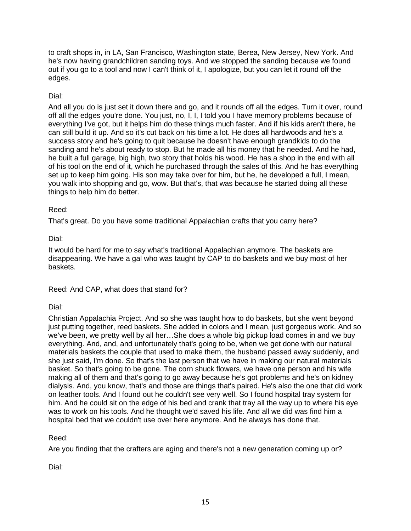to craft shops in, in LA, San Francisco, Washington state, Berea, New Jersey, New York. And he's now having grandchildren sanding toys. And we stopped the sanding because we found out if you go to a tool and now I can't think of it, I apologize, but you can let it round off the edges.

## Dial:

And all you do is just set it down there and go, and it rounds off all the edges. Turn it over, round off all the edges you're done. You just, no, I, I, I told you I have memory problems because of everything I've got, but it helps him do these things much faster. And if his kids aren't there, he can still build it up. And so it's cut back on his time a lot. He does all hardwoods and he's a success story and he's going to quit because he doesn't have enough grandkids to do the sanding and he's about ready to stop. But he made all his money that he needed. And he had, he built a full garage, big high, two story that holds his wood. He has a shop in the end with all of his tool on the end of it, which he purchased through the sales of this. And he has everything set up to keep him going. His son may take over for him, but he, he developed a full, I mean, you walk into shopping and go, wow. But that's, that was because he started doing all these things to help him do better.

### Reed:

That's great. Do you have some traditional Appalachian crafts that you carry here?

Dial:

It would be hard for me to say what's traditional Appalachian anymore. The baskets are disappearing. We have a gal who was taught by CAP to do baskets and we buy most of her baskets.

Reed: And CAP, what does that stand for?

# Dial:

Christian Appalachia Project. And so she was taught how to do baskets, but she went beyond just putting together, reed baskets. She added in colors and I mean, just gorgeous work. And so we've been, we pretty well by all her…She does a whole big pickup load comes in and we buy everything. And, and, and unfortunately that's going to be, when we get done with our natural materials baskets the couple that used to make them, the husband passed away suddenly, and she just said, I'm done. So that's the last person that we have in making our natural materials basket. So that's going to be gone. The corn shuck flowers, we have one person and his wife making all of them and that's going to go away because he's got problems and he's on kidney dialysis. And, you know, that's and those are things that's paired. He's also the one that did work on leather tools. And I found out he couldn't see very well. So I found hospital tray system for him. And he could sit on the edge of his bed and crank that tray all the way up to where his eye was to work on his tools. And he thought we'd saved his life. And all we did was find him a hospital bed that we couldn't use over here anymore. And he always has done that.

# Reed:

Are you finding that the crafters are aging and there's not a new generation coming up or?

Dial: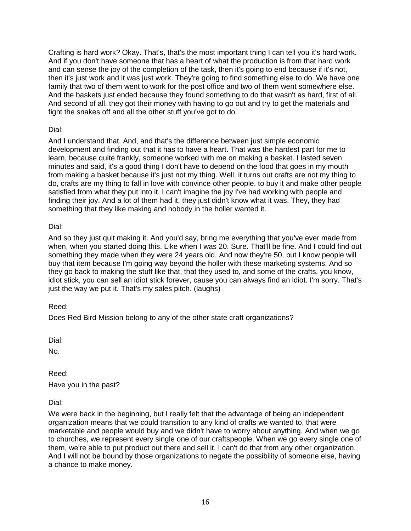Crafting is hard work? Okay. That's, that's the most important thing I can tell you it's hard work. And if you don't have someone that has a heart of what the production is from that hard work and can sense the joy of the completion of the task, then it's going to end because if it's not, then it's just work and it was just work. They're going to find something else to do. We have one family that two of them went to work for the post office and two of them went somewhere else. And the baskets just ended because they found something to do that wasn't as hard, first of all. And second of all, they got their money with having to go out and try to get the materials and fight the snakes off and all the other stuff you've got to do.

### Dial:

And I understand that. And, and that's the difference between just simple economic development and finding out that it has to have a heart. That was the hardest part for me to learn, because quite frankly, someone worked with me on making a basket. I lasted seven minutes and said, it's a good thing I don't have to depend on the food that goes in my mouth from making a basket because it's just not my thing. Well, it turns out crafts are not my thing to do, crafts are my thing to fall in love with convince other people, to buy it and make other people satisfied from what they put into it. I can't imagine the joy I've had working with people and finding their joy. And a lot of them had it, they just didn't know what it was. They, they had something that they like making and nobody in the holler wanted it.

Dial:

And so they just quit making it. And you'd say, bring me everything that you've ever made from when, when you started doing this. Like when I was 20. Sure. That'll be fine. And I could find out something they made when they were 24 years old. And now they're 50, but I know people will buy that item because I'm going way beyond the holler with these marketing systems. And so they go back to making the stuff like that, that they used to, and some of the crafts, you know, idiot stick, you can sell an idiot stick forever, cause you can always find an idiot. I'm sorry. That's just the way we put it. That's my sales pitch. (laughs)

Reed:

Does Red Bird Mission belong to any of the other state craft organizations?

Dial:

No.

Reed: Have you in the past?

Dial:

We were back in the beginning, but I really felt that the advantage of being an independent organization means that we could transition to any kind of crafts we wanted to, that were marketable and people would buy and we didn't have to worry about anything. And when we go to churches, we represent every single one of our craftspeople. When we go every single one of them, we're able to put product out there and sell it. I can't do that from any other organization. And I will not be bound by those organizations to negate the possibility of someone else, having a chance to make money.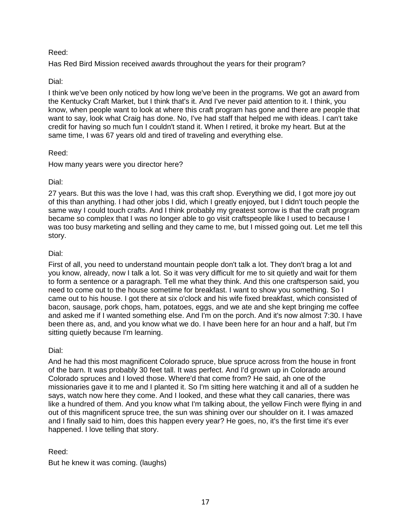### Reed:

Has Red Bird Mission received awards throughout the years for their program?

## Dial:

I think we've been only noticed by how long we've been in the programs. We got an award from the Kentucky Craft Market, but I think that's it. And I've never paid attention to it. I think, you know, when people want to look at where this craft program has gone and there are people that want to say, look what Craig has done. No, I've had staff that helped me with ideas. I can't take credit for having so much fun I couldn't stand it. When I retired, it broke my heart. But at the same time, I was 67 years old and tired of traveling and everything else.

### Reed:

How many years were you director here?

### Dial:

27 years. But this was the love I had, was this craft shop. Everything we did, I got more joy out of this than anything. I had other jobs I did, which I greatly enjoyed, but I didn't touch people the same way I could touch crafts. And I think probably my greatest sorrow is that the craft program became so complex that I was no longer able to go visit craftspeople like I used to because I was too busy marketing and selling and they came to me, but I missed going out. Let me tell this story.

#### Dial:

First of all, you need to understand mountain people don't talk a lot. They don't brag a lot and you know, already, now I talk a lot. So it was very difficult for me to sit quietly and wait for them to form a sentence or a paragraph. Tell me what they think. And this one craftsperson said, you need to come out to the house sometime for breakfast. I want to show you something. So I came out to his house. I got there at six o'clock and his wife fixed breakfast, which consisted of bacon, sausage, pork chops, ham, potatoes, eggs, and we ate and she kept bringing me coffee and asked me if I wanted something else. And I'm on the porch. And it's now almost 7:30. I have been there as, and, and you know what we do. I have been here for an hour and a half, but I'm sitting quietly because I'm learning.

### Dial:

And he had this most magnificent Colorado spruce, blue spruce across from the house in front of the barn. It was probably 30 feet tall. It was perfect. And I'd grown up in Colorado around Colorado spruces and I loved those. Where'd that come from? He said, ah one of the missionaries gave it to me and I planted it. So I'm sitting here watching it and all of a sudden he says, watch now here they come. And I looked, and these what they call canaries, there was like a hundred of them. And you know what I'm talking about, the yellow Finch were flying in and out of this magnificent spruce tree, the sun was shining over our shoulder on it. I was amazed and I finally said to him, does this happen every year? He goes, no, it's the first time it's ever happened. I love telling that story.

### Reed:

But he knew it was coming. (laughs)